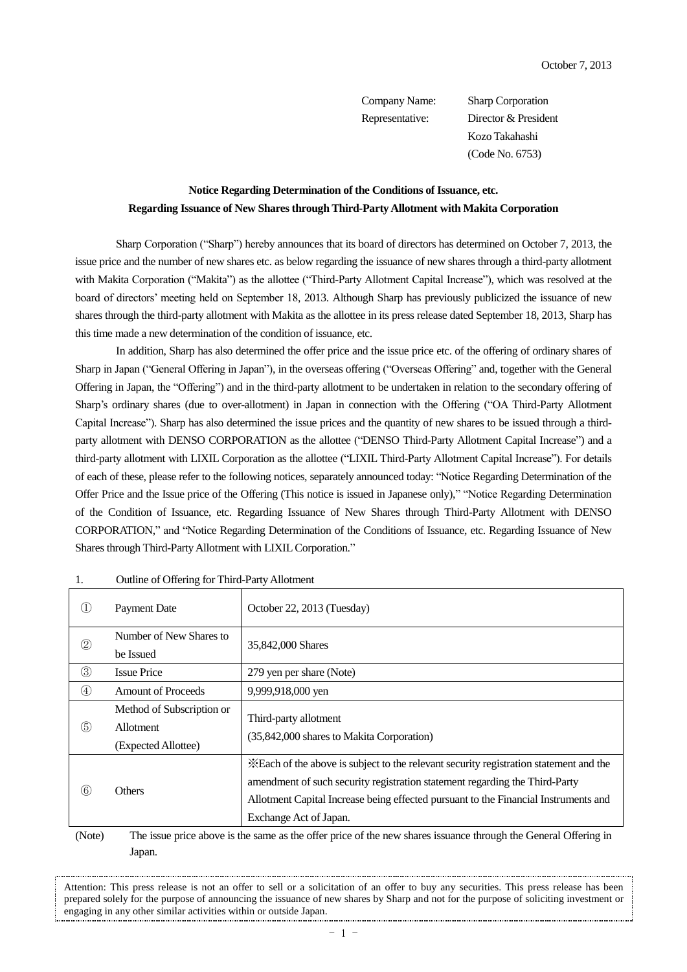Company Name: Sharp Corporation Representative: Director & President Kozo Takahashi (Code No. 6753)

## **Notice Regarding Determination of the Conditions of Issuance, etc. Regarding Issuance of New Shares through Third-Party Allotment with Makita Corporation**

Sharp Corporation ("Sharp") hereby announces that its board of directors has determined on October 7, 2013, the issue price and the number of new shares etc. as below regarding the issuance of new shares through a third-party allotment with Makita Corporation ("Makita") as the allottee ("Third-Party Allotment Capital Increase"), which was resolved at the board of directors' meeting held on September 18, 2013. Although Sharp has previously publicized the issuance of new shares through the third-party allotment with Makita as the allottee in its press release dated September 18, 2013, Sharp has this time made a new determination of the condition of issuance, etc.

In addition, Sharp has also determined the offer price and the issue price etc. of the offering of ordinary shares of Sharp in Japan ("General Offering in Japan"), in the overseas offering ("Overseas Offering" and, together with the General Offering in Japan, the "Offering") and in the third-party allotment to be undertaken in relation to the secondary offering of Sharp's ordinary shares (due to over-allotment) in Japan in connection with the Offering ("OA Third-Party Allotment Capital Increase"). Sharp has also determined the issue prices and the quantity of new shares to be issued through a thirdparty allotment with DENSO CORPORATION as the allottee ("DENSO Third-Party Allotment Capital Increase") and a third-party allotment with LIXIL Corporation as the allottee ("LIXIL Third-Party Allotment Capital Increase"). For details of each of these, please refer to the following notices, separately announced today: "Notice Regarding Determination of the Offer Price and the Issue price of the Offering (This notice is issued in Japanese only)," "Notice Regarding Determination of the Condition of Issuance, etc. Regarding Issuance of New Shares through Third-Party Allotment with DENSO CORPORATION," and "Notice Regarding Determination of the Conditions of Issuance, etc. Regarding Issuance of New Shares through Third-Party Allotment with LIXIL Corporation."

| Œ              | Payment Date              | October 22, 2013 (Tuesday)                                                                                                                                                                                                                                  |  |
|----------------|---------------------------|-------------------------------------------------------------------------------------------------------------------------------------------------------------------------------------------------------------------------------------------------------------|--|
| $^{\circledR}$ | Number of New Shares to   | 35,842,000 Shares                                                                                                                                                                                                                                           |  |
|                | be Issued                 |                                                                                                                                                                                                                                                             |  |
| $\circledS$    | <b>Issue Price</b>        | 279 yen per share (Note)                                                                                                                                                                                                                                    |  |
| $^{\circledA}$ | <b>Amount of Proceeds</b> | 9,999,918,000 yen                                                                                                                                                                                                                                           |  |
|                | Method of Subscription or | Third-party allotment                                                                                                                                                                                                                                       |  |
| $\circledS$    | Allotment                 |                                                                                                                                                                                                                                                             |  |
|                | (Expected Allottee)       | (35,842,000 shares to Makita Corporation)                                                                                                                                                                                                                   |  |
| $\circled6$    | <b>Others</b>             | *Each of the above is subject to the relevant security registration statement and the<br>amendment of such security registration statement regarding the Third-Party<br>Allotment Capital Increase being effected pursuant to the Financial Instruments and |  |
|                |                           | Exchange Act of Japan.                                                                                                                                                                                                                                      |  |
|                |                           |                                                                                                                                                                                                                                                             |  |

## 1. Outline of Offering for Third-Party Allotment

(Note) The issue price above is the same as the offer price of the new shares issuance through the General Offering in Japan.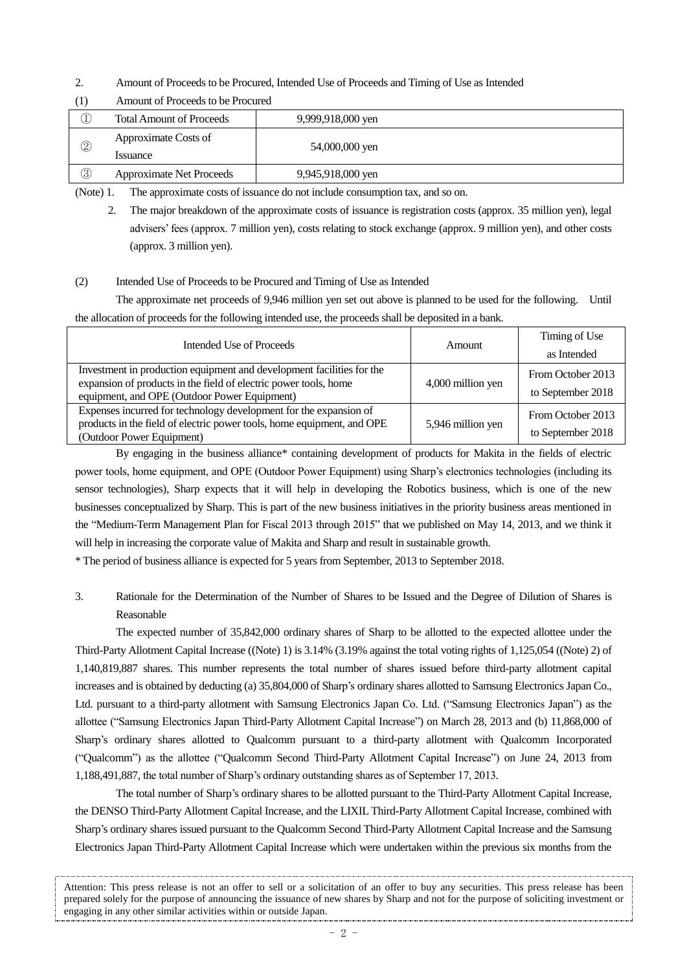2. Amount of Proceeds to be Procured, Intended Use of Proceeds and Timing of Use as Intended

|    | Amount of Proceeds to be Procured      |                   |  |
|----|----------------------------------------|-------------------|--|
|    | <b>Total Amount of Proceeds</b>        | 9,999,918,000 yen |  |
| 2  | Approximate Costs of<br><i>ssuance</i> | 54,000,000 yen    |  |
| O. | <b>Approximate Net Proceeds</b>        | 9,945,918,000 yen |  |

(1) Amount of Proceeds to be Procured

(Note) 1. The approximate costs of issuance do not include consumption tax, and so on.

2. The major breakdown of the approximate costs of issuance is registration costs (approx. 35 million yen), legal advisers' fees (approx. 7 million yen), costs relating to stock exchange (approx. 9 million yen), and other costs (approx. 3 million yen).

## (2) Intended Use of Proceeds to be Procured and Timing of Use as Intended

The approximate net proceeds of 9,946 million yen set out above is planned to be used for the following. Until the allocation of proceeds for the following intended use, the proceeds shall be deposited in a bank.

| Intended Use of Proceeds                                                                                                                                                                  | <b>Amount</b>     | Timing of Use                          |
|-------------------------------------------------------------------------------------------------------------------------------------------------------------------------------------------|-------------------|----------------------------------------|
|                                                                                                                                                                                           |                   | as Intended                            |
| Investment in production equipment and development facilities for the<br>expansion of products in the field of electric power tools, home<br>equipment, and OPE (Outdoor Power Equipment) | 4,000 million yen | From October 2013<br>to September 2018 |
| Expenses incurred for technology development for the expansion of<br>products in the field of electric power tools, home equipment, and OPE<br>(Outdoor Power Equipment)                  | 5,946 million yen | From October 2013<br>to September 2018 |

By engaging in the business alliance\* containing development of products for Makita in the fields of electric power tools, home equipment, and OPE (Outdoor Power Equipment) using Sharp's electronics technologies (including its sensor technologies), Sharp expects that it will help in developing the Robotics business, which is one of the new businesses conceptualized by Sharp. This is part of the new business initiatives in the priority business areas mentioned in the "Medium-Term Management Plan for Fiscal 2013 through 2015" that we published on May 14, 2013, and we think it will help in increasing the corporate value of Makita and Sharp and result in sustainable growth.

\* The period of business alliance is expected for 5 years from September, 2013 to September 2018.

3. Rationale for the Determination of the Number of Shares to be Issued and the Degree of Dilution of Shares is Reasonable

The expected number of 35,842,000 ordinary shares of Sharp to be allotted to the expected allottee under the Third-Party Allotment Capital Increase ((Note) 1) is 3.14% (3.19% against the total voting rights of 1,125,054 ((Note) 2) of 1,140,819,887 shares. This number represents the total number of shares issued before third-party allotment capital increases and is obtained by deducting (a) 35,804,000 of Sharp's ordinary shares allotted to Samsung Electronics Japan Co., Ltd. pursuant to a third-party allotment with Samsung Electronics Japan Co. Ltd. ("Samsung Electronics Japan") as the allottee ("Samsung Electronics Japan Third-Party Allotment Capital Increase") on March 28, 2013 and (b) 11,868,000 of Sharp's ordinary shares allotted to Qualcomm pursuant to a third-party allotment with Qualcomm Incorporated ("Qualcomm") as the allottee ("Qualcomm Second Third-Party Allotment Capital Increase") on June 24, 2013 from 1,188,491,887, the total number of Sharp's ordinary outstanding shares as of September 17, 2013.

The total number of Sharp's ordinary shares to be allotted pursuant to the Third-Party Allotment Capital Increase, the DENSO Third-Party Allotment Capital Increase, and the LIXIL Third-Party Allotment Capital Increase, combined with Sharp's ordinary shares issued pursuant to the Qualcomm Second Third-Party Allotment Capital Increase and the Samsung Electronics Japan Third-Party Allotment Capital Increase which were undertaken within the previous six months from the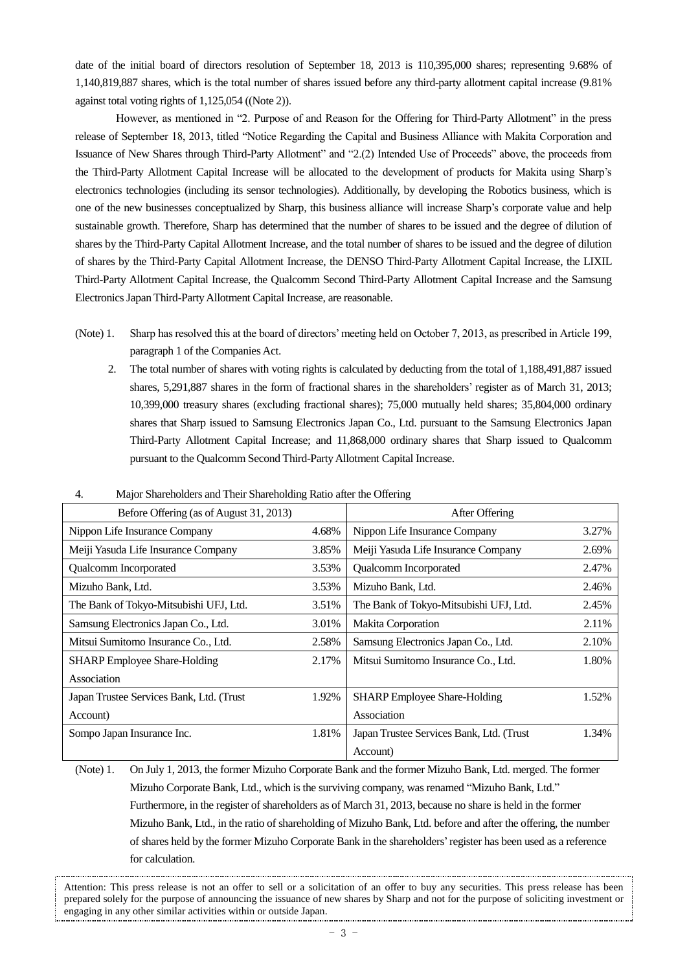date of the initial board of directors resolution of September 18, 2013 is 110,395,000 shares; representing 9.68% of 1,140,819,887 shares, which is the total number of shares issued before any third-party allotment capital increase (9.81% against total voting rights of 1,125,054 ((Note 2)).

However, as mentioned in "2. Purpose of and Reason for the Offering for Third-Party Allotment" in the press release of September 18, 2013, titled "Notice Regarding the Capital and Business Alliance with Makita Corporation and Issuance of New Shares through Third-Party Allotment" and "2.(2) Intended Use of Proceeds" above, the proceeds from the Third-Party Allotment Capital Increase will be allocated to the development of products for Makita using Sharp's electronics technologies (including its sensor technologies). Additionally, by developing the Robotics business, which is one of the new businesses conceptualized by Sharp, this business alliance will increase Sharp's corporate value and help sustainable growth. Therefore, Sharp has determined that the number of shares to be issued and the degree of dilution of shares by the Third-Party Capital Allotment Increase, and the total number of shares to be issued and the degree of dilution of shares by the Third-Party Capital Allotment Increase, the DENSO Third-Party Allotment Capital Increase, the LIXIL Third-Party Allotment Capital Increase, the Qualcomm Second Third-Party Allotment Capital Increase and the Samsung Electronics Japan Third-Party Allotment Capital Increase, are reasonable.

- (Note) 1. Sharp has resolved this at the board of directors' meeting held on October 7, 2013, as prescribed in Article 199, paragraph 1 of the Companies Act.
	- 2. The total number of shares with voting rights is calculated by deducting from the total of 1,188,491,887 issued shares, 5,291,887 shares in the form of fractional shares in the shareholders' register as of March 31, 2013; 10,399,000 treasury shares (excluding fractional shares); 75,000 mutually held shares; 35,804,000 ordinary shares that Sharp issued to Samsung Electronics Japan Co., Ltd. pursuant to the Samsung Electronics Japan Third-Party Allotment Capital Increase; and 11,868,000 ordinary shares that Sharp issued to Qualcomm pursuant to the Qualcomm Second Third-Party Allotment Capital Increase.

| Before Offering (as of August 31, 2013)  |       | After Offering                            |       |
|------------------------------------------|-------|-------------------------------------------|-------|
| Nippon Life Insurance Company            | 4.68% | Nippon Life Insurance Company             | 3.27% |
| Meiji Yasuda Life Insurance Company      | 3.85% | Meiji Yasuda Life Insurance Company       | 2.69% |
| Qualcomm Incorporated                    | 3.53% | Qualcomm Incorporated                     | 2.47% |
| Mizuho Bank, Ltd.                        | 3.53% | Mizuho Bank, Ltd.                         | 2.46% |
| The Bank of Tokyo-Mitsubishi UFJ, Ltd.   | 3.51% | The Bank of Tokyo-Mitsubishi UFJ, Ltd.    | 2.45% |
| Samsung Electronics Japan Co., Ltd.      | 3.01% | Makita Corporation                        | 2.11% |
| Mitsui Sumitomo Insurance Co., Ltd.      | 2.58% | Samsung Electronics Japan Co., Ltd.       | 2.10% |
| <b>SHARP</b> Employee Share-Holding      | 2.17% | Mitsui Sumitomo Insurance Co., Ltd.       | 1.80% |
| Association                              |       |                                           |       |
| Japan Trustee Services Bank, Ltd. (Trust | 1.92% | <b>SHARP</b> Employee Share-Holding       | 1.52% |
| Account)                                 |       | Association                               |       |
| Sompo Japan Insurance Inc.               | 1.81% | Japan Trustee Services Bank, Ltd. (Trust) | 1.34% |
|                                          |       | Account)                                  |       |

4. Major Shareholders and Their Shareholding Ratio after the Offering

(Note) 1. On July 1, 2013, the former Mizuho Corporate Bank and the former Mizuho Bank, Ltd. merged. The former Mizuho Corporate Bank, Ltd., which is the surviving company, was renamed "Mizuho Bank, Ltd." Furthermore, in the register of shareholders as of March 31, 2013, because no share is held in the former Mizuho Bank, Ltd., in the ratio of shareholding of Mizuho Bank, Ltd. before and after the offering, the number of shares held by the former Mizuho Corporate Bank in the shareholders'register has been used as a reference for calculation.